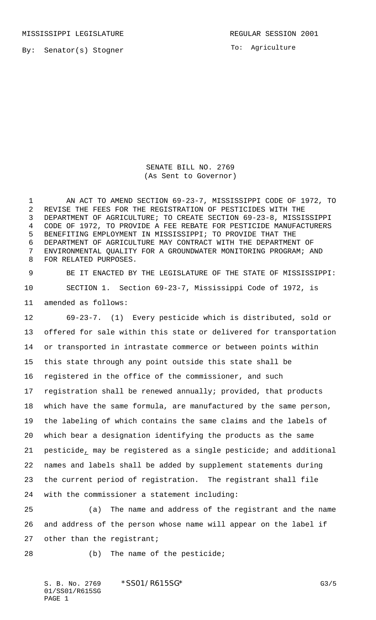By: Senator(s) Stogner

To: Agriculture

SENATE BILL NO. 2769 (As Sent to Governor)

 AN ACT TO AMEND SECTION 69-23-7, MISSISSIPPI CODE OF 1972, TO REVISE THE FEES FOR THE REGISTRATION OF PESTICIDES WITH THE DEPARTMENT OF AGRICULTURE; TO CREATE SECTION 69-23-8, MISSISSIPPI CODE OF 1972, TO PROVIDE A FEE REBATE FOR PESTICIDE MANUFACTURERS BENEFITING EMPLOYMENT IN MISSISSIPPI; TO PROVIDE THAT THE DEPARTMENT OF AGRICULTURE MAY CONTRACT WITH THE DEPARTMENT OF ENVIRONMENTAL QUALITY FOR A GROUNDWATER MONITORING PROGRAM; AND FOR RELATED PURPOSES.

 BE IT ENACTED BY THE LEGISLATURE OF THE STATE OF MISSISSIPPI: SECTION 1. Section 69-23-7, Mississippi Code of 1972, is amended as follows:

 69-23-7. (1) Every pesticide which is distributed, sold or offered for sale within this state or delivered for transportation or transported in intrastate commerce or between points within this state through any point outside this state shall be registered in the office of the commissioner, and such registration shall be renewed annually; provided, that products which have the same formula, are manufactured by the same person, the labeling of which contains the same claims and the labels of which bear a designation identifying the products as the same pesticide, may be registered as a single pesticide; and additional names and labels shall be added by supplement statements during the current period of registration. The registrant shall file with the commissioner a statement including:

 (a) The name and address of the registrant and the name and address of the person whose name will appear on the label if 27 other than the registrant;

28 (b) The name of the pesticide;

S. B. No. 2769 \* SSO1/R615SG\* G3/5 01/SS01/R615SG PAGE 1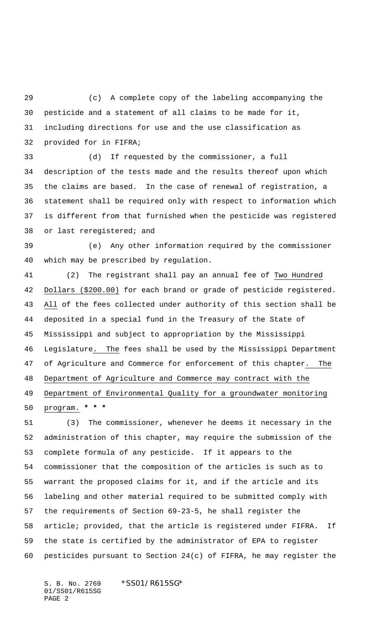(c) A complete copy of the labeling accompanying the pesticide and a statement of all claims to be made for it, including directions for use and the use classification as provided for in FIFRA;

 (d) If requested by the commissioner, a full description of the tests made and the results thereof upon which the claims are based. In the case of renewal of registration, a statement shall be required only with respect to information which is different from that furnished when the pesticide was registered or last reregistered; and

 (e) Any other information required by the commissioner which may be prescribed by regulation.

 (2) The registrant shall pay an annual fee of Two Hundred Dollars (\$200.00) for each brand or grade of pesticide registered. All of the fees collected under authority of this section shall be deposited in a special fund in the Treasury of the State of Mississippi and subject to appropriation by the Mississippi Legislature. The fees shall be used by the Mississippi Department of Agriculture and Commerce for enforcement of this chapter. The Department of Agriculture and Commerce may contract with the Department of Environmental Quality for a groundwater monitoring program. **\* \* \***

 (3) The commissioner, whenever he deems it necessary in the administration of this chapter, may require the submission of the complete formula of any pesticide. If it appears to the commissioner that the composition of the articles is such as to warrant the proposed claims for it, and if the article and its labeling and other material required to be submitted comply with the requirements of Section 69-23-5, he shall register the article; provided, that the article is registered under FIFRA. If the state is certified by the administrator of EPA to register pesticides pursuant to Section 24(c) of FIFRA, he may register the

S. B. No. 2769 \*SS01/R615SG\* 01/SS01/R615SG PAGE 2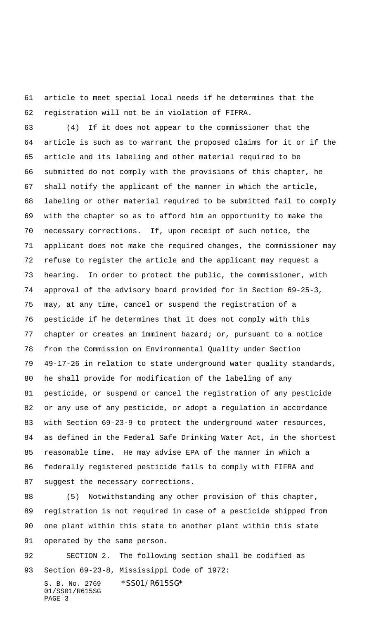article to meet special local needs if he determines that the registration will not be in violation of FIFRA.

 (4) If it does not appear to the commissioner that the article is such as to warrant the proposed claims for it or if the article and its labeling and other material required to be submitted do not comply with the provisions of this chapter, he shall notify the applicant of the manner in which the article, labeling or other material required to be submitted fail to comply with the chapter so as to afford him an opportunity to make the necessary corrections. If, upon receipt of such notice, the applicant does not make the required changes, the commissioner may refuse to register the article and the applicant may request a hearing. In order to protect the public, the commissioner, with approval of the advisory board provided for in Section 69-25-3, may, at any time, cancel or suspend the registration of a pesticide if he determines that it does not comply with this chapter or creates an imminent hazard; or, pursuant to a notice from the Commission on Environmental Quality under Section 49-17-26 in relation to state underground water quality standards, he shall provide for modification of the labeling of any pesticide, or suspend or cancel the registration of any pesticide or any use of any pesticide, or adopt a regulation in accordance with Section 69-23-9 to protect the underground water resources, as defined in the Federal Safe Drinking Water Act, in the shortest reasonable time. He may advise EPA of the manner in which a federally registered pesticide fails to comply with FIFRA and suggest the necessary corrections.

 (5) Notwithstanding any other provision of this chapter, registration is not required in case of a pesticide shipped from one plant within this state to another plant within this state operated by the same person.

 SECTION 2. The following section shall be codified as Section 69-23-8, Mississippi Code of 1972:

S. B. No. 2769 \*SS01/R615SG\* 01/SS01/R615SG PAGE 3